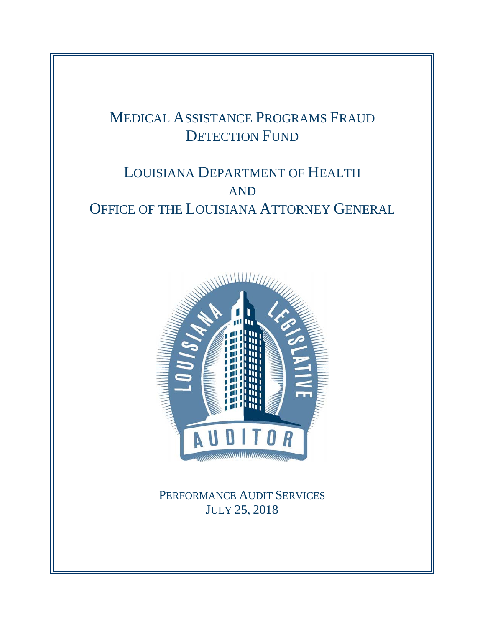# MEDICAL ASSISTANCE PROGRAMS FRAUD DETECTION FUND

# LOUISIANA DEPARTMENT OF HEALTH AND OFFICE OF THE LOUISIANA ATTORNEY GENERAL



PERFORMANCE AUDIT SERVICES JULY 25, 2018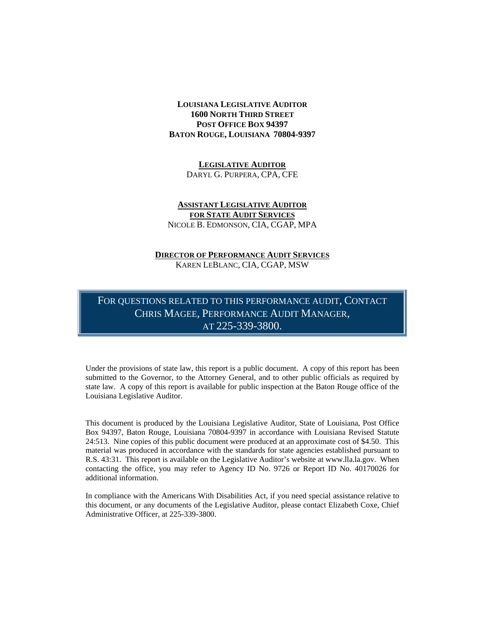#### **LOUISIANA LEGISLATIVE AUDITOR 1600 NORTH THIRD STREET POST OFFICE BOX 94397 BATON ROUGE, LOUISIANA 70804-9397**

**LEGISLATIVE AUDITOR** DARYL G. PURPERA, CPA, CFE

#### **ASSISTANT LEGISLATIVE AUDITOR FOR STATE AUDIT SERVICES** NICOLE B. EDMONSON, CIA, CGAP, MPA

#### **DIRECTOR OF PERFORMANCE AUDIT SERVICES** KAREN LEBLANC, CIA, CGAP, MSW

FOR QUESTIONS RELATED TO THIS PERFORMANCE AUDIT, CONTACT CHRIS MAGEE, PERFORMANCE AUDIT MANAGER, AT 225-339-3800.

Under the provisions of state law, this report is a public document. A copy of this report has been submitted to the Governor, to the Attorney General, and to other public officials as required by state law. A copy of this report is available for public inspection at the Baton Rouge office of the Louisiana Legislative Auditor.

This document is produced by the Louisiana Legislative Auditor, State of Louisiana, Post Office Box 94397, Baton Rouge, Louisiana 70804-9397 in accordance with Louisiana Revised Statute 24:513. Nine copies of this public document were produced at an approximate cost of \$4.50. This material was produced in accordance with the standards for state agencies established pursuant to R.S. 43:31. This report is available on the Legislative Auditor's website at www.lla.la.gov. When contacting the office, you may refer to Agency ID No. 9726 or Report ID No. 40170026 for additional information.

In compliance with the Americans With Disabilities Act, if you need special assistance relative to this document, or any documents of the Legislative Auditor, please contact Elizabeth Coxe, Chief Administrative Officer, at 225-339-3800.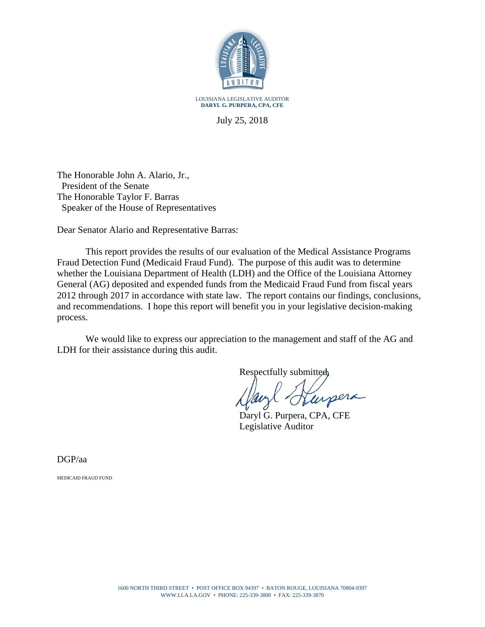

July 25, 2018

The Honorable John A. Alario, Jr., President of the Senate The Honorable Taylor F. Barras Speaker of the House of Representatives

Dear Senator Alario and Representative Barras:

This report provides the results of our evaluation of the Medical Assistance Programs Fraud Detection Fund (Medicaid Fraud Fund). The purpose of this audit was to determine whether the Louisiana Department of Health (LDH) and the Office of the Louisiana Attorney General (AG) deposited and expended funds from the Medicaid Fraud Fund from fiscal years 2012 through 2017 in accordance with state law. The report contains our findings, conclusions, and recommendations. I hope this report will benefit you in your legislative decision-making process.

We would like to express our appreciation to the management and staff of the AG and LDH for their assistance during this audit.

Respectfully submitted,

urpera

Daryl G. Purpera, CPA, CFE Legislative Auditor

DGP/aa

MEDICAID FRAUD FUND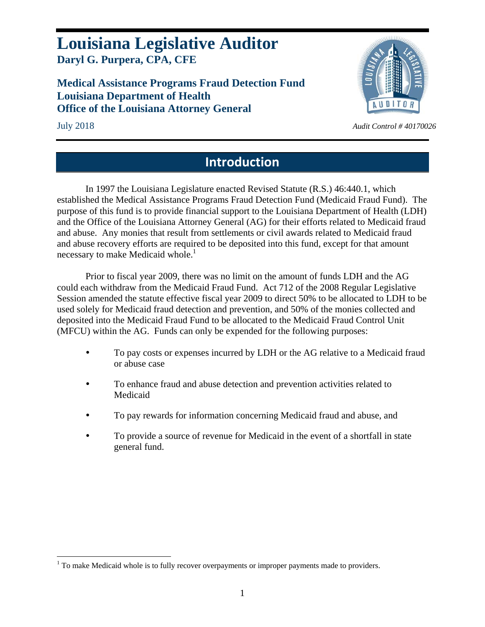## **Louisiana Legislative Auditor Daryl G. Purpera, CPA, CFE**

**Medical Assistance Programs Fraud Detection Fund Louisiana Department of Health Office of the Louisiana Attorney General** 



 $\overline{a}$ 

### July 2018 *Audit Control # 40170026*

## **Introduction**

In 1997 the Louisiana Legislature enacted Revised Statute (R.S.) 46:440.1, which established the Medical Assistance Programs Fraud Detection Fund (Medicaid Fraud Fund). The purpose of this fund is to provide financial support to the Louisiana Department of Health (LDH) and the Office of the Louisiana Attorney General (AG) for their efforts related to Medicaid fraud and abuse. Any monies that result from settlements or civil awards related to Medicaid fraud and abuse recovery efforts are required to be deposited into this fund, except for that amount necessary to make Medicaid whole.<sup>1</sup>

Prior to fiscal year 2009, there was no limit on the amount of funds LDH and the AG could each withdraw from the Medicaid Fraud Fund. Act 712 of the 2008 Regular Legislative Session amended the statute effective fiscal year 2009 to direct 50% to be allocated to LDH to be used solely for Medicaid fraud detection and prevention, and 50% of the monies collected and deposited into the Medicaid Fraud Fund to be allocated to the Medicaid Fraud Control Unit (MFCU) within the AG. Funds can only be expended for the following purposes:

- To pay costs or expenses incurred by LDH or the AG relative to a Medicaid fraud or abuse case
- To enhance fraud and abuse detection and prevention activities related to Medicaid
- To pay rewards for information concerning Medicaid fraud and abuse, and
- To provide a source of revenue for Medicaid in the event of a shortfall in state general fund.

 $1$  To make Medicaid whole is to fully recover overpayments or improper payments made to providers.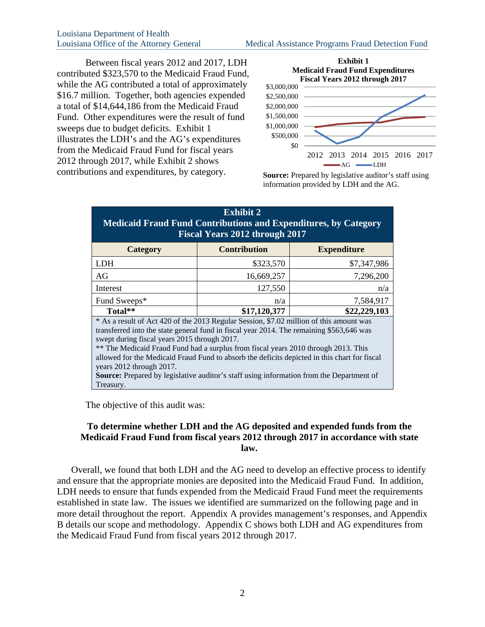Between fiscal years 2012 and 2017, LDH contributed \$323,570 to the Medicaid Fraud Fund, while the AG contributed a total of approximately \$16.7 million. Together, both agencies expended a total of \$14,644,186 from the Medicaid Fraud Fund. Other expenditures were the result of fund sweeps due to budget deficits. Exhibit 1 illustrates the LDH's and the AG's expenditures from the Medicaid Fraud Fund for fiscal years 2012 through 2017, while Exhibit 2 shows contributions and expenditures, by category.



**Source:** Prepared by legislative auditor's staff using information provided by LDH and the AG.

| <b>Exhibit 2</b><br><b>Medicaid Fraud Fund Contributions and Expenditures, by Category</b><br><b>Fiscal Years 2012 through 2017</b>                                                                                                                                                                                                                                                                                                                                                                                                                      |                     |                    |  |  |  |  |  |  |  |
|----------------------------------------------------------------------------------------------------------------------------------------------------------------------------------------------------------------------------------------------------------------------------------------------------------------------------------------------------------------------------------------------------------------------------------------------------------------------------------------------------------------------------------------------------------|---------------------|--------------------|--|--|--|--|--|--|--|
| <b>Category</b>                                                                                                                                                                                                                                                                                                                                                                                                                                                                                                                                          | <b>Contribution</b> | <b>Expenditure</b> |  |  |  |  |  |  |  |
| <b>LDH</b>                                                                                                                                                                                                                                                                                                                                                                                                                                                                                                                                               | \$323,570           | \$7,347,986        |  |  |  |  |  |  |  |
| AG                                                                                                                                                                                                                                                                                                                                                                                                                                                                                                                                                       | 16,669,257          | 7,296,200          |  |  |  |  |  |  |  |
| Interest                                                                                                                                                                                                                                                                                                                                                                                                                                                                                                                                                 | 127,550             | n/a                |  |  |  |  |  |  |  |
| Fund Sweeps*                                                                                                                                                                                                                                                                                                                                                                                                                                                                                                                                             | n/a                 | 7,584,917          |  |  |  |  |  |  |  |
| Total**                                                                                                                                                                                                                                                                                                                                                                                                                                                                                                                                                  | \$17,120,377        | \$22,229,103       |  |  |  |  |  |  |  |
| * As a result of Act 420 of the 2013 Regular Session, \$7.02 million of this amount was<br>transferred into the state general fund in fiscal year 2014. The remaining \$563,646 was<br>swept during fiscal years 2015 through 2017.<br>** The Medicaid Fraud Fund had a surplus from fiscal years 2010 through 2013. This<br>allowed for the Medicaid Fraud Fund to absorb the deficits depicted in this chart for fiscal<br>years 2012 through 2017.<br><b>Source:</b> Prepared by legislative auditor's staff using information from the Department of |                     |                    |  |  |  |  |  |  |  |
| Treasury.                                                                                                                                                                                                                                                                                                                                                                                                                                                                                                                                                |                     |                    |  |  |  |  |  |  |  |

The objective of this audit was:

### **To determine whether LDH and the AG deposited and expended funds from the Medicaid Fraud Fund from fiscal years 2012 through 2017 in accordance with state law.**

Overall, we found that both LDH and the AG need to develop an effective process to identify and ensure that the appropriate monies are deposited into the Medicaid Fraud Fund. In addition, LDH needs to ensure that funds expended from the Medicaid Fraud Fund meet the requirements established in state law. The issues we identified are summarized on the following page and in more detail throughout the report. Appendix A provides management's responses, and Appendix B details our scope and methodology. Appendix C shows both LDH and AG expenditures from the Medicaid Fraud Fund from fiscal years 2012 through 2017.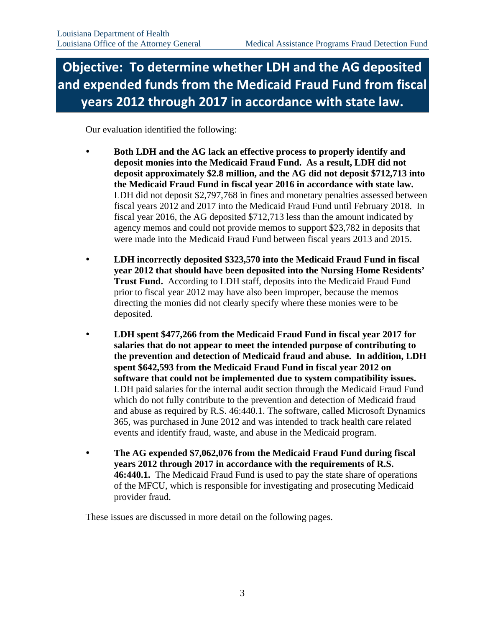# **Objective: To determine whether LDH and the AG deposited and expended funds from the Medicaid Fraud Fund from fiscal years 2012 through 2017 in accordance with state law.**

Our evaluation identified the following:

- **Both LDH and the AG lack an effective process to properly identify and deposit monies into the Medicaid Fraud Fund. As a result, LDH did not deposit approximately \$2.8 million, and the AG did not deposit \$712,713 into the Medicaid Fraud Fund in fiscal year 2016 in accordance with state law.** LDH did not deposit \$2,797,768 in fines and monetary penalties assessed between fiscal years 2012 and 2017 into the Medicaid Fraud Fund until February 2018. In fiscal year 2016, the AG deposited \$712,713 less than the amount indicated by agency memos and could not provide memos to support \$23,782 in deposits that were made into the Medicaid Fraud Fund between fiscal years 2013 and 2015.
- **LDH incorrectly deposited \$323,570 into the Medicaid Fraud Fund in fiscal year 2012 that should have been deposited into the Nursing Home Residents' Trust Fund.** According to LDH staff, deposits into the Medicaid Fraud Fund prior to fiscal year 2012 may have also been improper, because the memos directing the monies did not clearly specify where these monies were to be deposited.
- **LDH spent \$477,266 from the Medicaid Fraud Fund in fiscal year 2017 for salaries that do not appear to meet the intended purpose of contributing to the prevention and detection of Medicaid fraud and abuse. In addition, LDH spent \$642,593 from the Medicaid Fraud Fund in fiscal year 2012 on software that could not be implemented due to system compatibility issues.** LDH paid salaries for the internal audit section through the Medicaid Fraud Fund which do not fully contribute to the prevention and detection of Medicaid fraud and abuse as required by R.S. 46:440.1. The software, called Microsoft Dynamics 365, was purchased in June 2012 and was intended to track health care related events and identify fraud, waste, and abuse in the Medicaid program.
- **The AG expended \$7,062,076 from the Medicaid Fraud Fund during fiscal years 2012 through 2017 in accordance with the requirements of R.S. 46:440.1.** The Medicaid Fraud Fund is used to pay the state share of operations of the MFCU, which is responsible for investigating and prosecuting Medicaid provider fraud.

These issues are discussed in more detail on the following pages.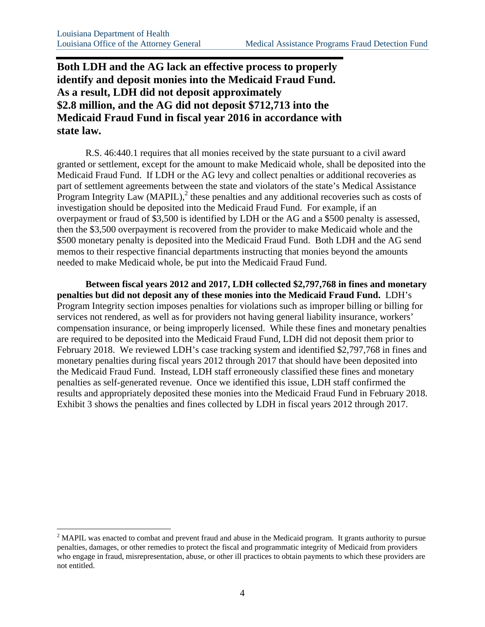<u>.</u>

### **Both LDH and the AG lack an effective process to properly identify and deposit monies into the Medicaid Fraud Fund. As a result, LDH did not deposit approximately \$2.8 million, and the AG did not deposit \$712,713 into the Medicaid Fraud Fund in fiscal year 2016 in accordance with state law.**

R.S. 46:440.1 requires that all monies received by the state pursuant to a civil award granted or settlement, except for the amount to make Medicaid whole, shall be deposited into the Medicaid Fraud Fund. If LDH or the AG levy and collect penalties or additional recoveries as part of settlement agreements between the state and violators of the state's Medical Assistance Program Integrity Law  $(MAPIL)$ ,  $^{2}$  these penalties and any additional recoveries such as costs of investigation should be deposited into the Medicaid Fraud Fund. For example, if an overpayment or fraud of \$3,500 is identified by LDH or the AG and a \$500 penalty is assessed, then the \$3,500 overpayment is recovered from the provider to make Medicaid whole and the \$500 monetary penalty is deposited into the Medicaid Fraud Fund. Both LDH and the AG send memos to their respective financial departments instructing that monies beyond the amounts needed to make Medicaid whole, be put into the Medicaid Fraud Fund.

**Between fiscal years 2012 and 2017, LDH collected \$2,797,768 in fines and monetary penalties but did not deposit any of these monies into the Medicaid Fraud Fund.** LDH's Program Integrity section imposes penalties for violations such as improper billing or billing for services not rendered, as well as for providers not having general liability insurance, workers' compensation insurance, or being improperly licensed. While these fines and monetary penalties are required to be deposited into the Medicaid Fraud Fund, LDH did not deposit them prior to February 2018. We reviewed LDH's case tracking system and identified \$2,797,768 in fines and monetary penalties during fiscal years 2012 through 2017 that should have been deposited into the Medicaid Fraud Fund. Instead, LDH staff erroneously classified these fines and monetary penalties as self-generated revenue. Once we identified this issue, LDH staff confirmed the results and appropriately deposited these monies into the Medicaid Fraud Fund in February 2018. Exhibit 3 shows the penalties and fines collected by LDH in fiscal years 2012 through 2017.

 $2^2$  MAPIL was enacted to combat and prevent fraud and abuse in the Medicaid program. It grants authority to pursue penalties, damages, or other remedies to protect the fiscal and programmatic integrity of Medicaid from providers who engage in fraud, misrepresentation, abuse, or other ill practices to obtain payments to which these providers are not entitled.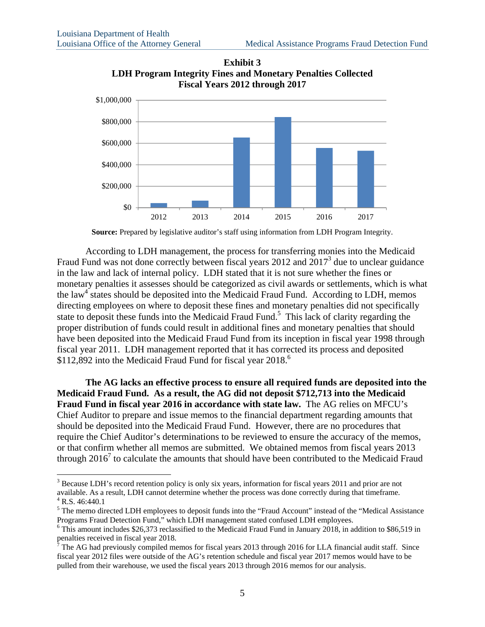

**Exhibit 3 LDH Program Integrity Fines and Monetary Penalties Collected Fiscal Years 2012 through 2017** 

**Source:** Prepared by legislative auditor's staff using information from LDH Program Integrity.

According to LDH management, the process for transferring monies into the Medicaid Fraud Fund was not done correctly between fiscal years  $2012$  and  $2017<sup>3</sup>$  due to unclear guidance in the law and lack of internal policy. LDH stated that it is not sure whether the fines or monetary penalties it assesses should be categorized as civil awards or settlements, which is what the law<sup>4</sup> states should be deposited into the Medicaid Fraud Fund. According to LDH, memos directing employees on where to deposit these fines and monetary penalties did not specifically state to deposit these funds into the Medicaid Fraud Fund.<sup>5</sup> This lack of clarity regarding the proper distribution of funds could result in additional fines and monetary penalties that should have been deposited into the Medicaid Fraud Fund from its inception in fiscal year 1998 through fiscal year 2011. LDH management reported that it has corrected its process and deposited \$112,892 into the Medicaid Fraud Fund for fiscal year 2018.<sup>6</sup>

**The AG lacks an effective process to ensure all required funds are deposited into the Medicaid Fraud Fund. As a result, the AG did not deposit \$712,713 into the Medicaid Fraud Fund in fiscal year 2016 in accordance with state law.** The AG relies on MFCU's Chief Auditor to prepare and issue memos to the financial department regarding amounts that should be deposited into the Medicaid Fraud Fund. However, there are no procedures that require the Chief Auditor's determinations to be reviewed to ensure the accuracy of the memos, or that confirm whether all memos are submitted. We obtained memos from fiscal years 2013 through  $2016<sup>7</sup>$  to calculate the amounts that should have been contributed to the Medicaid Fraud

 $\overline{a}$ 

 $3$  Because LDH's record retention policy is only six years, information for fiscal years 2011 and prior are not available. As a result, LDH cannot determine whether the process was done correctly during that timeframe. 4

 $4$  R.S. 46:440.1

<sup>&</sup>lt;sup>5</sup> The memo directed LDH employees to deposit funds into the "Fraud Account" instead of the "Medical Assistance Programs Fraud Detection Fund," which LDH management stated confused LDH employees.

<sup>&</sup>lt;sup>6</sup> This amount includes \$26,373 reclassified to the Medicaid Fraud Fund in January 2018, in addition to \$86,519 in penalties received in fiscal year 2018.<br><sup>7</sup> The AG had previously compiled memos for fiscal years 2013 through 2016 for LLA financial audit staff. Since

fiscal year 2012 files were outside of the AG's retention schedule and fiscal year 2017 memos would have to be pulled from their warehouse, we used the fiscal years 2013 through 2016 memos for our analysis.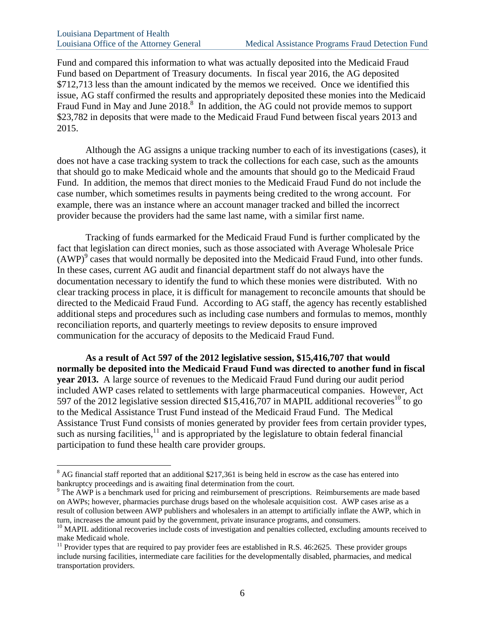$\overline{a}$ 

Fund and compared this information to what was actually deposited into the Medicaid Fraud Fund based on Department of Treasury documents. In fiscal year 2016, the AG deposited \$712,713 less than the amount indicated by the memos we received. Once we identified this issue, AG staff confirmed the results and appropriately deposited these monies into the Medicaid Fraud Fund in May and June  $2018$ <sup>8</sup>. In addition, the AG could not provide memos to support \$23,782 in deposits that were made to the Medicaid Fraud Fund between fiscal years 2013 and 2015.

Although the AG assigns a unique tracking number to each of its investigations (cases), it does not have a case tracking system to track the collections for each case, such as the amounts that should go to make Medicaid whole and the amounts that should go to the Medicaid Fraud Fund. In addition, the memos that direct monies to the Medicaid Fraud Fund do not include the case number, which sometimes results in payments being credited to the wrong account. For example, there was an instance where an account manager tracked and billed the incorrect provider because the providers had the same last name, with a similar first name.

Tracking of funds earmarked for the Medicaid Fraud Fund is further complicated by the fact that legislation can direct monies, such as those associated with Average Wholesale Price  $(AWP)^9$  cases that would normally be deposited into the Medicaid Fraud Fund, into other funds. In these cases, current AG audit and financial department staff do not always have the documentation necessary to identify the fund to which these monies were distributed. With no clear tracking process in place, it is difficult for management to reconcile amounts that should be directed to the Medicaid Fraud Fund. According to AG staff, the agency has recently established additional steps and procedures such as including case numbers and formulas to memos, monthly reconciliation reports, and quarterly meetings to review deposits to ensure improved communication for the accuracy of deposits to the Medicaid Fraud Fund.

**As a result of Act 597 of the 2012 legislative session, \$15,416,707 that would normally be deposited into the Medicaid Fraud Fund was directed to another fund in fiscal year 2013.** A large source of revenues to the Medicaid Fraud Fund during our audit period included AWP cases related to settlements with large pharmaceutical companies. However, Act 597 of the 2012 legislative session directed \$15,416,707 in MAPIL additional recoveries<sup>10</sup> to go to the Medical Assistance Trust Fund instead of the Medicaid Fraud Fund. The Medical Assistance Trust Fund consists of monies generated by provider fees from certain provider types, such as nursing facilities, $11$  and is appropriated by the legislature to obtain federal financial participation to fund these health care provider groups.

 $8$  AG financial staff reported that an additional \$217,361 is being held in escrow as the case has entered into bankruptcy proceedings and is awaiting final determination from the court.

<sup>&</sup>lt;sup>9</sup> The AWP is a benchmark used for pricing and reimbursement of prescriptions. Reimbursements are made based on AWPs; however, pharmacies purchase drugs based on the wholesale acquisition cost. AWP cases arise as a result of collusion between AWP publishers and wholesalers in an attempt to artificially inflate the AWP, which in turn, increases the amount paid by the government, private insurance programs, and consumers.

<sup>&</sup>lt;sup>10</sup> MAPIL additional recoveries include costs of investigation and penalties collected, excluding amounts received to make Medicaid whole.

 $11$  Provider types that are required to pay provider fees are established in R.S. 46:2625. These provider groups include nursing facilities, intermediate care facilities for the developmentally disabled, pharmacies, and medical transportation providers.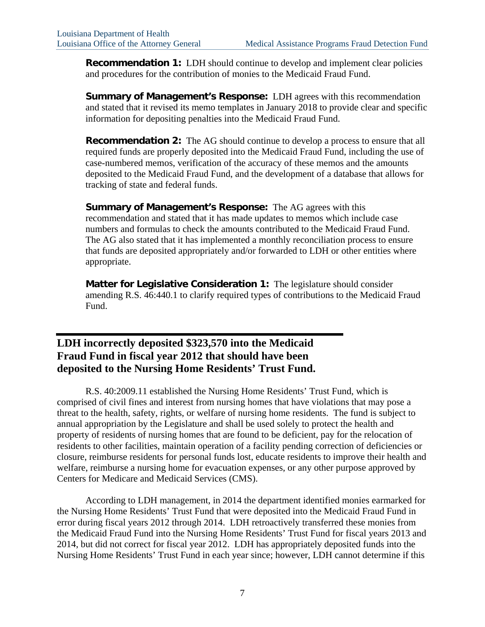**Recommendation 1:** LDH should continue to develop and implement clear policies and procedures for the contribution of monies to the Medicaid Fraud Fund.

**Summary of Management's Response:** LDH agrees with this recommendation and stated that it revised its memo templates in January 2018 to provide clear and specific information for depositing penalties into the Medicaid Fraud Fund.

**Recommendation 2:** The AG should continue to develop a process to ensure that all required funds are properly deposited into the Medicaid Fraud Fund, including the use of case-numbered memos, verification of the accuracy of these memos and the amounts deposited to the Medicaid Fraud Fund, and the development of a database that allows for tracking of state and federal funds.

**Summary of Management's Response:** The AG agrees with this recommendation and stated that it has made updates to memos which include case numbers and formulas to check the amounts contributed to the Medicaid Fraud Fund. The AG also stated that it has implemented a monthly reconciliation process to ensure that funds are deposited appropriately and/or forwarded to LDH or other entities where appropriate.

**Matter for Legislative Consideration 1:** The legislature should consider amending R.S. 46:440.1 to clarify required types of contributions to the Medicaid Fraud Fund.

### **LDH incorrectly deposited \$323,570 into the Medicaid Fraud Fund in fiscal year 2012 that should have been deposited to the Nursing Home Residents' Trust Fund.**

R.S. 40:2009.11 established the Nursing Home Residents' Trust Fund, which is comprised of civil fines and interest from nursing homes that have violations that may pose a threat to the health, safety, rights, or welfare of nursing home residents. The fund is subject to annual appropriation by the Legislature and shall be used solely to protect the health and property of residents of nursing homes that are found to be deficient, pay for the relocation of residents to other facilities, maintain operation of a facility pending correction of deficiencies or closure, reimburse residents for personal funds lost, educate residents to improve their health and welfare, reimburse a nursing home for evacuation expenses, or any other purpose approved by Centers for Medicare and Medicaid Services (CMS).

According to LDH management, in 2014 the department identified monies earmarked for the Nursing Home Residents' Trust Fund that were deposited into the Medicaid Fraud Fund in error during fiscal years 2012 through 2014. LDH retroactively transferred these monies from the Medicaid Fraud Fund into the Nursing Home Residents' Trust Fund for fiscal years 2013 and 2014, but did not correct for fiscal year 2012. LDH has appropriately deposited funds into the Nursing Home Residents' Trust Fund in each year since; however, LDH cannot determine if this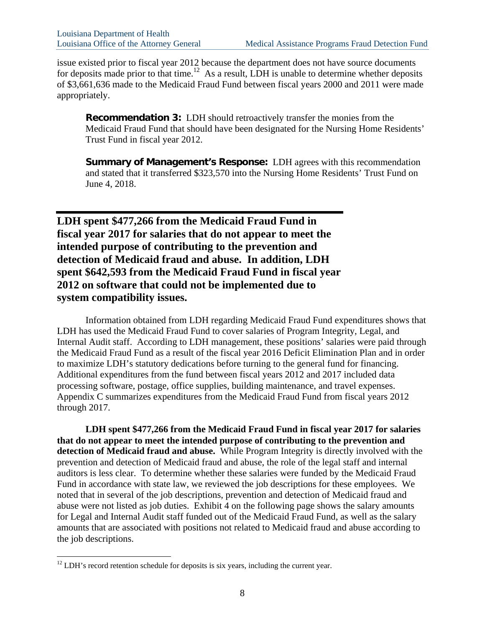issue existed prior to fiscal year 2012 because the department does not have source documents for deposits made prior to that time.<sup>12</sup> As a result, LDH is unable to determine whether deposits of \$3,661,636 made to the Medicaid Fraud Fund between fiscal years 2000 and 2011 were made appropriately.

**Recommendation 3:** LDH should retroactively transfer the monies from the Medicaid Fraud Fund that should have been designated for the Nursing Home Residents' Trust Fund in fiscal year 2012.

**Summary of Management's Response:** LDH agrees with this recommendation and stated that it transferred \$323,570 into the Nursing Home Residents' Trust Fund on June 4, 2018.

**LDH spent \$477,266 from the Medicaid Fraud Fund in fiscal year 2017 for salaries that do not appear to meet the intended purpose of contributing to the prevention and detection of Medicaid fraud and abuse. In addition, LDH spent \$642,593 from the Medicaid Fraud Fund in fiscal year 2012 on software that could not be implemented due to system compatibility issues.**

Information obtained from LDH regarding Medicaid Fraud Fund expenditures shows that LDH has used the Medicaid Fraud Fund to cover salaries of Program Integrity, Legal, and Internal Audit staff. According to LDH management, these positions' salaries were paid through the Medicaid Fraud Fund as a result of the fiscal year 2016 Deficit Elimination Plan and in order to maximize LDH's statutory dedications before turning to the general fund for financing. Additional expenditures from the fund between fiscal years 2012 and 2017 included data processing software, postage, office supplies, building maintenance, and travel expenses. Appendix C summarizes expenditures from the Medicaid Fraud Fund from fiscal years 2012 through 2017.

**LDH spent \$477,266 from the Medicaid Fraud Fund in fiscal year 2017 for salaries that do not appear to meet the intended purpose of contributing to the prevention and detection of Medicaid fraud and abuse.** While Program Integrity is directly involved with the prevention and detection of Medicaid fraud and abuse, the role of the legal staff and internal auditors is less clear. To determine whether these salaries were funded by the Medicaid Fraud Fund in accordance with state law, we reviewed the job descriptions for these employees. We noted that in several of the job descriptions, prevention and detection of Medicaid fraud and abuse were not listed as job duties. Exhibit 4 on the following page shows the salary amounts for Legal and Internal Audit staff funded out of the Medicaid Fraud Fund, as well as the salary amounts that are associated with positions not related to Medicaid fraud and abuse according to the job descriptions.

 $\overline{a}$ 

 $12$  LDH's record retention schedule for deposits is six years, including the current year.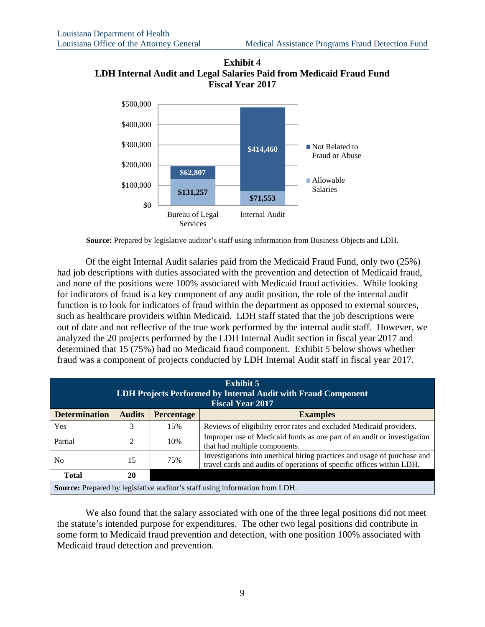

**Exhibit 4 LDH Internal Audit and Legal Salaries Paid from Medicaid Fraud Fund Fiscal Year 2017**

**Source:** Prepared by legislative auditor's staff using information from Business Objects and LDH.

Of the eight Internal Audit salaries paid from the Medicaid Fraud Fund, only two (25%) had job descriptions with duties associated with the prevention and detection of Medicaid fraud, and none of the positions were 100% associated with Medicaid fraud activities. While looking for indicators of fraud is a key component of any audit position, the role of the internal audit function is to look for indicators of fraud within the department as opposed to external sources, such as healthcare providers within Medicaid. LDH staff stated that the job descriptions were out of date and not reflective of the true work performed by the internal audit staff. However, we analyzed the 20 projects performed by the LDH Internal Audit section in fiscal year 2017 and determined that 15 (75%) had no Medicaid fraud component. Exhibit 5 below shows whether fraud was a component of projects conducted by LDH Internal Audit staff in fiscal year 2017.

| <b>Exhibit 5</b><br>LDH Projects Performed by Internal Audit with Fraud Component<br><b>Fiscal Year 2017</b> |                |                   |                                                                                                                                                   |  |  |  |  |
|--------------------------------------------------------------------------------------------------------------|----------------|-------------------|---------------------------------------------------------------------------------------------------------------------------------------------------|--|--|--|--|
| <b>Determination</b>                                                                                         | <b>Audits</b>  | <b>Percentage</b> | <b>Examples</b>                                                                                                                                   |  |  |  |  |
| Yes                                                                                                          |                | 15%               | Reviews of eligibility error rates and excluded Medicaid providers.                                                                               |  |  |  |  |
| Partial                                                                                                      | $\mathfrak{D}$ | 10%               | Improper use of Medicaid funds as one part of an audit or investigation<br>that had multiple components.                                          |  |  |  |  |
| N <sub>0</sub>                                                                                               | 15             | 75%               | Investigations into unethical hiring practices and usage of purchase and<br>travel cards and audits of operations of specific offices within LDH. |  |  |  |  |
| <b>Total</b>                                                                                                 | 20             |                   |                                                                                                                                                   |  |  |  |  |
| <b>Source:</b> Prepared by legislative auditor's staff using information from LDH.                           |                |                   |                                                                                                                                                   |  |  |  |  |

We also found that the salary associated with one of the three legal positions did not meet the statute's intended purpose for expenditures. The other two legal positions did contribute in some form to Medicaid fraud prevention and detection, with one position 100% associated with Medicaid fraud detection and prevention.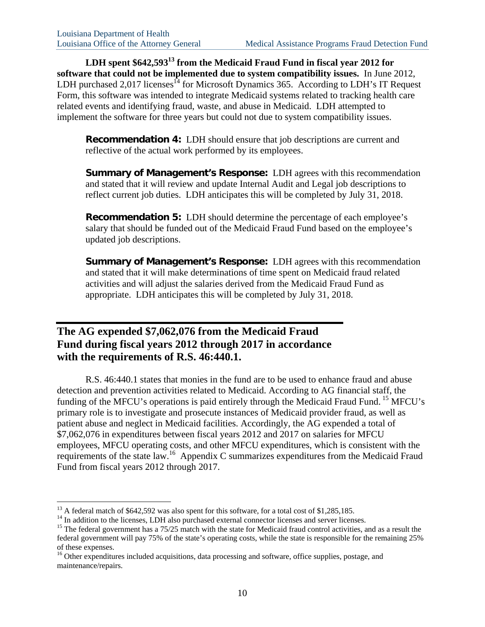LDH spent \$642,593<sup>13</sup> from the Medicaid Fraud Fund in fiscal year 2012 for **software that could not be implemented due to system compatibility issues.** In June 2012, LDH purchased 2,017 licenses<sup> $14$ </sup> for Microsoft Dynamics 365. According to LDH's IT Request Form, this software was intended to integrate Medicaid systems related to tracking health care related events and identifying fraud, waste, and abuse in Medicaid. LDH attempted to implement the software for three years but could not due to system compatibility issues.

**Recommendation 4:** LDH should ensure that job descriptions are current and reflective of the actual work performed by its employees.

**Summary of Management's Response:** LDH agrees with this recommendation and stated that it will review and update Internal Audit and Legal job descriptions to reflect current job duties. LDH anticipates this will be completed by July 31, 2018.

**Recommendation 5:** LDH should determine the percentage of each employee's salary that should be funded out of the Medicaid Fraud Fund based on the employee's updated job descriptions.

**Summary of Management's Response:** LDH agrees with this recommendation and stated that it will make determinations of time spent on Medicaid fraud related activities and will adjust the salaries derived from the Medicaid Fraud Fund as appropriate. LDH anticipates this will be completed by July 31, 2018.

### **The AG expended \$7,062,076 from the Medicaid Fraud Fund during fiscal years 2012 through 2017 in accordance with the requirements of R.S. 46:440.1.**

R.S. 46:440.1 states that monies in the fund are to be used to enhance fraud and abuse detection and prevention activities related to Medicaid. According to AG financial staff, the funding of the MFCU's operations is paid entirely through the Medicaid Fraud Fund. <sup>15</sup> MFCU's primary role is to investigate and prosecute instances of Medicaid provider fraud, as well as patient abuse and neglect in Medicaid facilities. Accordingly, the AG expended a total of \$7,062,076 in expenditures between fiscal years 2012 and 2017 on salaries for MFCU employees, MFCU operating costs, and other MFCU expenditures, which is consistent with the requirements of the state law.16 Appendix C summarizes expenditures from the Medicaid Fraud Fund from fiscal years 2012 through 2017.

 $\overline{a}$ 

<sup>&</sup>lt;sup>13</sup> A federal match of \$642,592 was also spent for this software, for a total cost of \$1,285,185.<br><sup>14</sup> In addition to the licenses, LDH also purchased external connector licenses and server licenses.

<sup>&</sup>lt;sup>15</sup> The federal government has a 75/25 match with the state for Medicaid fraud control activities, and as a result the federal government will pay 75% of the state's operating costs, while the state is responsible for the remaining 25% of these expenses.

<sup>&</sup>lt;sup>16</sup> Other expenditures included acquisitions, data processing and software, office supplies, postage, and maintenance/repairs.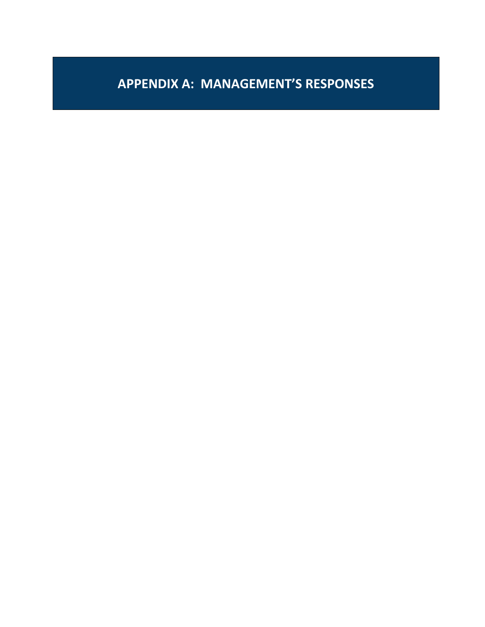# **APPENDIX A: MANAGEMENT'S RESPONSES**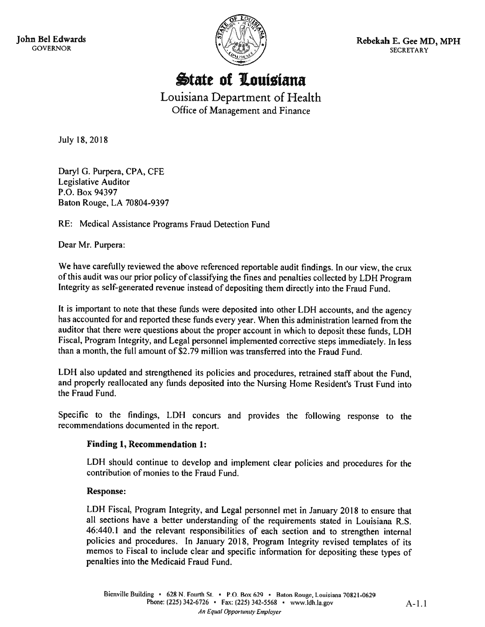John Bel Edwards **GOVERNOR** 



Rebekah E. Gee MD, MPH **SECRETARY** 

**State of Louisiana** 

Louisiana Department of Health Office of Management and Finance

July 18, 2018

Daryl G. Purpera, CPA, CFE **Legislative Auditor** P.O. Box 94397 Baton Rouge, LA 70804-9397

RE: Medical Assistance Programs Fraud Detection Fund

Dear Mr. Purpera:

We have carefully reviewed the above referenced reportable audit findings. In our view, the crux of this audit was our prior policy of classifying the fines and penalties collected by LDH Program Integrity as self-generated revenue instead of depositing them directly into the Fraud Fund.

It is important to note that these funds were deposited into other LDH accounts, and the agency has accounted for and reported these funds every year. When this administration learned from the auditor that there were questions about the proper account in which to deposit these funds, LDH Fiscal, Program Integrity, and Legal personnel implemented corrective steps immediately. In less than a month, the full amount of \$2.79 million was transferred into the Fraud Fund.

LDH also updated and strengthened its policies and procedures, retrained staff about the Fund, and properly reallocated any funds deposited into the Nursing Home Resident's Trust Fund into the Fraud Fund.

Specific to the findings, LDH concurs and provides the following response to the recommendations documented in the report.

### **Finding 1, Recommendation 1:**

LDH should continue to develop and implement clear policies and procedures for the contribution of monies to the Fraud Fund.

### **Response:**

LDH Fiscal, Program Integrity, and Legal personnel met in January 2018 to ensure that all sections have a better understanding of the requirements stated in Louisiana R.S. 46:440.1 and the relevant responsibilities of each section and to strengthen internal policies and procedures. In January 2018, Program Integrity revised templates of its memos to Fiscal to include clear and specific information for depositing these types of penalties into the Medicaid Fraud Fund.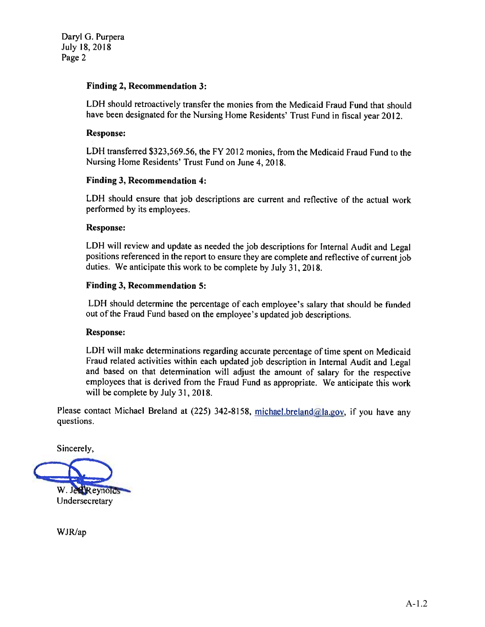Daryl G. Purpera July 18, 2018 Page 2

### **Finding 2, Recommendation 3:**

LDH should retroactively transfer the monies from the Medicaid Fraud Fund that should have been designated for the Nursing Home Residents' Trust Fund in fiscal year 2012.

### **Response:**

LDH transferred \$323,569.56, the FY 2012 monies, from the Medicaid Fraud Fund to the Nursing Home Residents' Trust Fund on June 4, 2018.

### **Finding 3, Recommendation 4:**

LDH should ensure that job descriptions are current and reflective of the actual work performed by its employees.

### **Response:**

LDH will review and update as needed the job descriptions for Internal Audit and Legal positions referenced in the report to ensure they are complete and reflective of current job duties. We anticipate this work to be complete by July 31, 2018.

### **Finding 3, Recommendation 5:**

LDH should determine the percentage of each employee's salary that should be funded out of the Fraud Fund based on the employee's updated job descriptions.

#### **Response:**

LDH will make determinations regarding accurate percentage of time spent on Medicaid Fraud related activities within each updated job description in Internal Audit and Legal and based on that determination will adjust the amount of salary for the respective employees that is derived from the Fraud Fund as appropriate. We anticipate this work will be complete by July 31, 2018.

Please contact Michael Breland at (225) 342-8158, michael.breland@la.gov, if you have any questions.

Sincerely,

W. Jerkeynolds Undersecretary

WJR/ap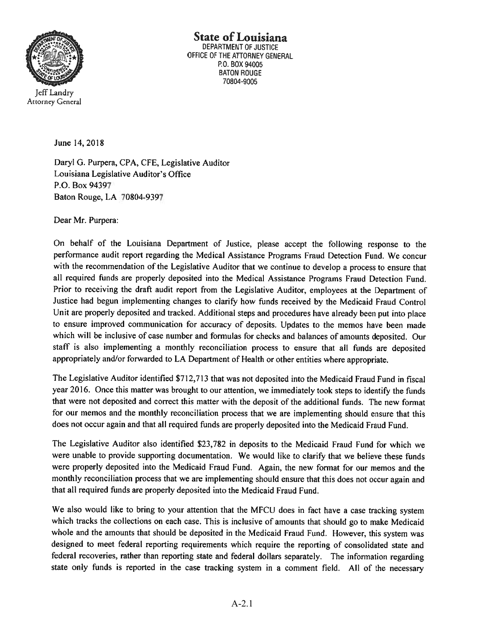

State of Louisiana **DEPARTMENT OF JUSTICF** OFFICE OF THE ATTORNEY GENERAL P.O. BOX 94005 **BATON ROUGE** 70804-9005

**Attorney General** 

June 14, 2018

Daryl G. Purpera, CPA, CFE, Legislative Auditor Louisiana Legislative Auditor's Office P.O. Box 94397 Baton Rouge, LA 70804-9397

Dear Mr. Purpera:

On behalf of the Louisiana Department of Justice, please accept the following response to the performance audit report regarding the Medical Assistance Programs Fraud Detection Fund. We concur with the recommendation of the Legislative Auditor that we continue to develop a process to ensure that all required funds are properly deposited into the Medical Assistance Programs Fraud Detection Fund. Prior to receiving the draft audit report from the Legislative Auditor, employees at the Department of Justice had begun implementing changes to clarify how funds received by the Medicaid Fraud Control Unit are properly deposited and tracked. Additional steps and procedures have already been put into place to ensure improved communication for accuracy of deposits. Updates to the memos have been made which will be inclusive of case number and formulas for checks and balances of amounts deposited. Our staff is also implementing a monthly reconciliation process to ensure that all funds are deposited appropriately and/or forwarded to LA Department of Health or other entities where appropriate.

The Legislative Auditor identified \$712,713 that was not deposited into the Medicaid Fraud Fund in fiscal year 2016. Once this matter was brought to our attention, we immediately took steps to identify the funds that were not deposited and correct this matter with the deposit of the additional funds. The new format for our memos and the monthly reconciliation process that we are implementing should ensure that this does not occur again and that all required funds are properly deposited into the Medicaid Fraud Fund.

The Legislative Auditor also identified \$23,782 in deposits to the Medicaid Fraud Fund for which we were unable to provide supporting documentation. We would like to clarify that we believe these funds were properly deposited into the Medicaid Fraud Fund. Again, the new format for our memos and the monthly reconciliation process that we are implementing should ensure that this does not occur again and that all required funds are properly deposited into the Medicaid Fraud Fund.

We also would like to bring to your attention that the MFCU does in fact have a case tracking system which tracks the collections on each case. This is inclusive of amounts that should go to make Medicaid whole and the amounts that should be deposited in the Medicaid Fraud Fund. However, this system was designed to meet federal reporting requirements which require the reporting of consolidated state and federal recoveries, rather than reporting state and federal dollars separately. The information regarding state only funds is reported in the case tracking system in a comment field. All of the necessary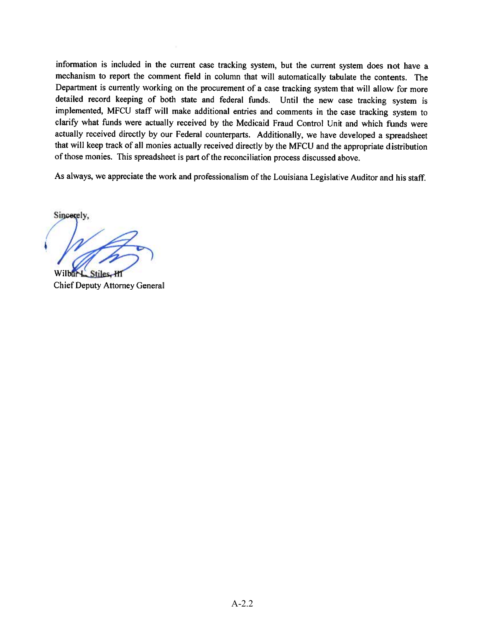information is included in the current case tracking system, but the current system does not have a mechanism to report the comment field in column that will automatically tabulate the contents. The Department is currently working on the procurement of a case tracking system that will allow for more detailed record keeping of both state and federal funds. Until the new case tracking system is implemented, MFCU staff will make additional entries and comments in the case tracking system to clarify what funds were actually received by the Medicaid Fraud Control Unit and which funds were actually received directly by our Federal counterparts. Additionally, we have developed a spreadsheet that will keep track of all monies actually received directly by the MFCU and the appropriate distribution of those monies. This spreadsheet is part of the reconciliation process discussed above.

As always, we appreciate the work and professionalism of the Louisiana Legislative Auditor and his staff.

Sincerely. Wilbury Stiles-H1

**Chief Deputy Attorney General**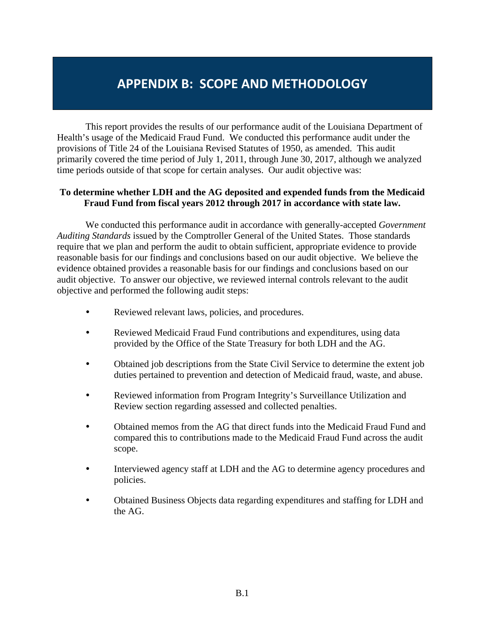### **APPENDIX B: SCOPE AND METHODOLOGY**

This report provides the results of our performance audit of the Louisiana Department of Health's usage of the Medicaid Fraud Fund. We conducted this performance audit under the provisions of Title 24 of the Louisiana Revised Statutes of 1950, as amended. This audit primarily covered the time period of July 1, 2011, through June 30, 2017, although we analyzed time periods outside of that scope for certain analyses. Our audit objective was:

### **To determine whether LDH and the AG deposited and expended funds from the Medicaid Fraud Fund from fiscal years 2012 through 2017 in accordance with state law.**

We conducted this performance audit in accordance with generally-accepted *Government Auditing Standards* issued by the Comptroller General of the United States. Those standards require that we plan and perform the audit to obtain sufficient, appropriate evidence to provide reasonable basis for our findings and conclusions based on our audit objective. We believe the evidence obtained provides a reasonable basis for our findings and conclusions based on our audit objective. To answer our objective, we reviewed internal controls relevant to the audit objective and performed the following audit steps:

- Reviewed relevant laws, policies, and procedures.
- Reviewed Medicaid Fraud Fund contributions and expenditures, using data provided by the Office of the State Treasury for both LDH and the AG.
- Obtained job descriptions from the State Civil Service to determine the extent job duties pertained to prevention and detection of Medicaid fraud, waste, and abuse.
- Reviewed information from Program Integrity's Surveillance Utilization and Review section regarding assessed and collected penalties.
- Obtained memos from the AG that direct funds into the Medicaid Fraud Fund and compared this to contributions made to the Medicaid Fraud Fund across the audit scope.
- Interviewed agency staff at LDH and the AG to determine agency procedures and policies.
- Obtained Business Objects data regarding expenditures and staffing for LDH and the AG.